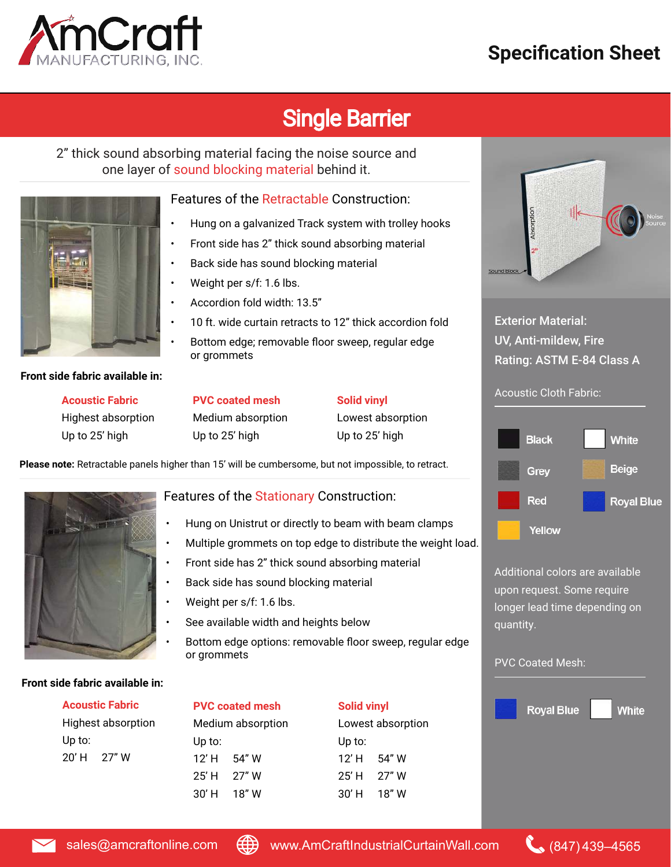# nCraft

## **Specification Sheet**

# Single Barrier

2" thick sound absorbing material facing the noise source and one layer of sound blocking material behind it.



#### Features of the Retractable Construction:

- Hung on a galvanized Track system with trolley hooks
- Ì • Front side has 2" thick sound absorbing material
- Back side has sound blocking material
- Weight per s/f: 1.6 lbs.
- Accordion fold width: 13.5"
- 10 ft. wide curtain retracts to 12" thick accordion fold
- Bottom edge; removable floor sweep, regular edge or grommets

**Front side fabric available in:**

**Acoustic Fabric** Highest absorption Up to 25' high

**PVC coated mesh** Medium absorption

#### **Solid vinyl**

. Lowest absorption Up to 25' high

**Please note:** Retractable panels higher than 15' will be cumbersome, but not impossible, to retract.

Up to 25' high



#### Features of the Stationary Construction:

- Hung on Unistrut or directly to beam with beam clamps
- Ĩ • Multiple grommets on top edge to distribute the weight load.
- Front side has 2" thick sound absorbing material
- $\overline{a}$ • Back side has sound blocking material
- J • Weight per s/f: 1.6 lbs.
- See available width and heights below
- $\overline{a}$ • Bottom edge options: removable floor sweep, regular edge or grommets

#### **Front side fabric available in:**

| <b>Acoustic Fabric</b>    |       |  |  |  |
|---------------------------|-------|--|--|--|
| <b>Highest absorption</b> |       |  |  |  |
| Up to:                    |       |  |  |  |
| 20' H                     | 27" W |  |  |  |

#### **PVC coated mesh**

 $\overline{a}$ Medium absorption l Up to:  $12'$  H 54" W 25' H 27" W 30' H 18" W

| <b>Solid vinyl</b> |       |  |  |  |  |
|--------------------|-------|--|--|--|--|
| Lowest absorption  |       |  |  |  |  |
| Up to:             |       |  |  |  |  |
| 12' H              | 54" W |  |  |  |  |
| 25' H              | 27" W |  |  |  |  |
| 30' H              | 18" W |  |  |  |  |



#### Exterior Material: UV, Anti-mildew, Fire Rating: ASTM E-84 Class A

#### Acoustic Cloth Fabric:



Additional colors are available upon request. Some require longer lead time depending on quantity.

### PVC Coated Mesh: **Royal Blue White**